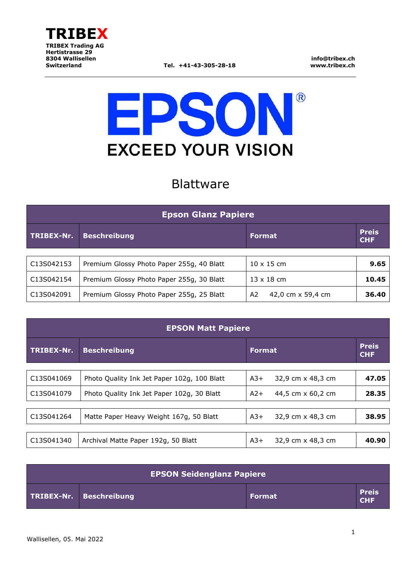

**info@tribex.ch www.tribex.ch**

# EPSON  $\sqrt{R}$ **EXCEED YOUR VISION**

## Blattware

| <b>Epson Glanz Papiere</b> |                                           |                         |                            |  |
|----------------------------|-------------------------------------------|-------------------------|----------------------------|--|
| <b>TRIBEX-Nr.</b>          | <b>Beschreibung</b>                       | <b>Format</b>           | <b>Preis</b><br><b>CHF</b> |  |
|                            |                                           |                         |                            |  |
| C13S042153                 | Premium Glossy Photo Paper 255g, 40 Blatt | $10 \times 15$ cm       | 9.65                       |  |
| C13S042154                 | Premium Glossy Photo Paper 255g, 30 Blatt | $13 \times 18$ cm       | 10.45                      |  |
| C13S042091                 | Premium Glossy Photo Paper 255g, 25 Blatt | 42,0 cm x 59,4 cm<br>A2 | 36.40                      |  |

| <b>EPSON Matt Papiere</b> |                                             |                            |                            |
|---------------------------|---------------------------------------------|----------------------------|----------------------------|
| TRIBEX-Nr.                | <b>Beschreibung</b>                         | <b>Format</b>              | <b>Preis</b><br><b>CHF</b> |
|                           |                                             |                            |                            |
| C13S041069                | Photo Quality Ink Jet Paper 102g, 100 Blatt | $A3+$<br>32,9 cm x 48,3 cm | 47.05                      |
| C13S041079                | Photo Quality Ink Jet Paper 102g, 30 Blatt  | $A2+$<br>44,5 cm x 60,2 cm | 28.35                      |
|                           |                                             |                            |                            |
| C13S041264                | Matte Paper Heavy Weight 167g, 50 Blatt     | $A3+$<br>32,9 cm x 48,3 cm | 38.95                      |
|                           |                                             |                            |                            |
| C13S041340                | Archival Matte Paper 192g, 50 Blatt         | 32,9 cm x 48,3 cm<br>$A3+$ | 40.90                      |

| <b>EPSON Seidenglanz Papiere</b> |                         |               |                            |  |
|----------------------------------|-------------------------|---------------|----------------------------|--|
|                                  | TRIBEX-Nr. Beschreibung | <b>Format</b> | <b>Preis</b><br><b>CHF</b> |  |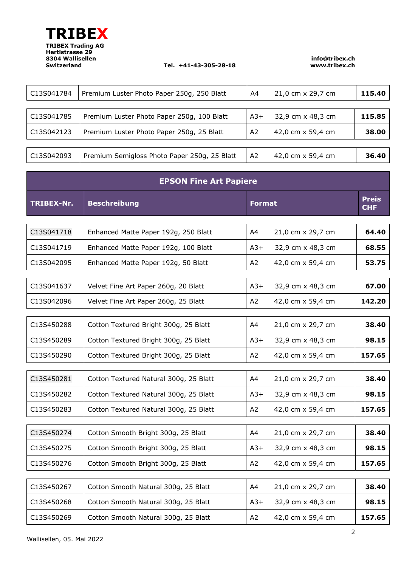

#### **Switzerland Tel. +41-43-305-28-18**

**info@tribex.ch www.tribex.ch**

| C13S041784 | Premium Luster Photo Paper 250g, 250 Blatt   | A4             | 21,0 cm x 29,7 cm | 115.40 |
|------------|----------------------------------------------|----------------|-------------------|--------|
|            |                                              |                |                   |        |
| C13S041785 | Premium Luster Photo Paper 250g, 100 Blatt   | $A3+$          | 32,9 cm x 48,3 cm | 115.85 |
| C13S042123 | Premium Luster Photo Paper 250g, 25 Blatt    | A <sub>2</sub> | 42,0 cm x 59,4 cm | 38.00  |
|            |                                              |                |                   |        |
| C13S042093 | Premium Semigloss Photo Paper 250g, 25 Blatt | A <sub>2</sub> | 42,0 cm x 59,4 cm | 36.40  |

| <b>EPSON Fine Art Papiere</b> |                                        |               |                   |                            |
|-------------------------------|----------------------------------------|---------------|-------------------|----------------------------|
| <b>TRIBEX-Nr.</b>             | <b>Beschreibung</b>                    | <b>Format</b> |                   | <b>Preis</b><br><b>CHF</b> |
|                               |                                        |               |                   |                            |
| C13S041718                    | Enhanced Matte Paper 192g, 250 Blatt   | A4            | 21,0 cm x 29,7 cm | 64.40                      |
| C13S041719                    | Enhanced Matte Paper 192g, 100 Blatt   | $A3+$         | 32,9 cm x 48,3 cm | 68.55                      |
| C13S042095                    | Enhanced Matte Paper 192g, 50 Blatt    | A2            | 42,0 cm x 59,4 cm | 53.75                      |
|                               |                                        |               |                   |                            |
| C13S041637                    | Velvet Fine Art Paper 260g, 20 Blatt   | $A3+$         | 32,9 cm x 48,3 cm | 67.00                      |
| C13S042096                    | Velvet Fine Art Paper 260g, 25 Blatt   | A2            | 42,0 cm x 59,4 cm | 142.20                     |
|                               |                                        |               |                   |                            |
| C13S450288                    | Cotton Textured Bright 300g, 25 Blatt  | A4            | 21,0 cm x 29,7 cm | 38.40                      |
| C13S450289                    | Cotton Textured Bright 300g, 25 Blatt  | $A3+$         | 32,9 cm x 48,3 cm | 98.15                      |
| C13S450290                    | Cotton Textured Bright 300g, 25 Blatt  | A2            | 42,0 cm x 59,4 cm | 157.65                     |
|                               |                                        |               |                   |                            |
| C13S450281                    | Cotton Textured Natural 300g, 25 Blatt | A4            | 21,0 cm x 29,7 cm | 38.40                      |
| C13S450282                    | Cotton Textured Natural 300g, 25 Blatt | $A3+$         | 32,9 cm x 48,3 cm | 98.15                      |
| C13S450283                    | Cotton Textured Natural 300g, 25 Blatt | A2            | 42,0 cm x 59,4 cm | 157.65                     |
|                               |                                        |               |                   |                            |
| C13S450274                    | Cotton Smooth Bright 300g, 25 Blatt    | A4            | 21,0 cm x 29,7 cm | 38.40                      |
| C13S450275                    | Cotton Smooth Bright 300g, 25 Blatt    | $A3+$         | 32,9 cm x 48,3 cm | 98.15                      |
| C13S450276                    | Cotton Smooth Bright 300g, 25 Blatt    | A2            | 42,0 cm x 59,4 cm | 157.65                     |
|                               |                                        |               |                   |                            |
| C13S450267                    | Cotton Smooth Natural 300g, 25 Blatt   | A4            | 21,0 cm x 29,7 cm | 38.40                      |
| C13S450268                    | Cotton Smooth Natural 300g, 25 Blatt   | $A3+$         | 32,9 cm x 48,3 cm | 98.15                      |
| C13S450269                    | Cotton Smooth Natural 300g, 25 Blatt   | A2            | 42,0 cm x 59,4 cm | 157.65                     |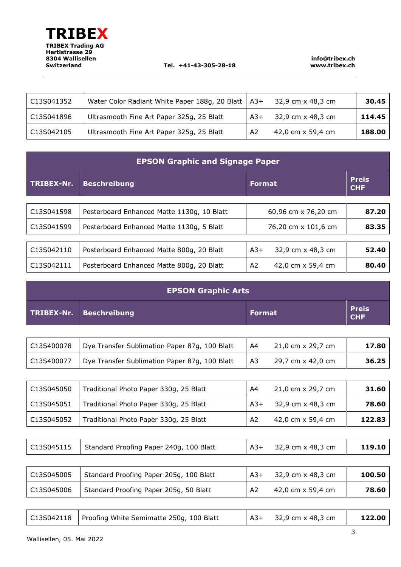#### **Switzerland Tel. +41-43-305-28-18**

**info@tribex.ch www.tribex.ch**

| C13S041352 | Water Color Radiant White Paper 188g, 20 Blatt   A3+ |       | 32,9 cm x 48,3 cm | 30.45  |
|------------|------------------------------------------------------|-------|-------------------|--------|
| C13S041896 | Ultrasmooth Fine Art Paper 325g, 25 Blatt            | $A3+$ | 32,9 cm x 48,3 cm | 114.45 |
| C13S042105 | Ultrasmooth Fine Art Paper 325g, 25 Blatt            | A2    | 42,0 cm x 59,4 cm | 188.00 |

| <b>EPSON Graphic and Signage Paper</b> |                                            |                            |       |  |
|----------------------------------------|--------------------------------------------|----------------------------|-------|--|
| TRIBEX-Nr.                             | <b>Beschreibung</b>                        | <b>Format</b>              |       |  |
|                                        |                                            |                            |       |  |
| C13S041598                             | Posterboard Enhanced Matte 1130g, 10 Blatt | 60,96 cm x 76,20 cm        | 87.20 |  |
| C13S041599                             | Posterboard Enhanced Matte 1130g, 5 Blatt  | 76,20 cm x 101,6 cm        | 83.35 |  |
|                                        |                                            |                            |       |  |
| C13S042110                             | Posterboard Enhanced Matte 800g, 20 Blatt  | 32,9 cm x 48,3 cm<br>$A3+$ | 52.40 |  |
| C13S042111                             | Posterboard Enhanced Matte 800g, 20 Blatt  | A2<br>42.0 cm x 59.4 cm    | 80.40 |  |

| <b>EPSON Graphic Arts</b> |                         |        |                            |  |
|---------------------------|-------------------------|--------|----------------------------|--|
|                           | TRIBEX-Nr. Beschreibung | Format | <b>Preis</b><br><b>CHF</b> |  |

| C13S400078 | Dye Transfer Sublimation Paper 87g, 100 Blatt | A4             | 21,0 cm x 29,7 cm | 17.80 |
|------------|-----------------------------------------------|----------------|-------------------|-------|
| C13S400077 | Dye Transfer Sublimation Paper 87g, 100 Blatt | A <sub>3</sub> | 29,7 cm x 42,0 cm | 36.25 |

| C13S045050 | Traditional Photo Paper 330g, 25 Blatt | A4             | 21,0 cm x 29,7 cm | 31.60  |
|------------|----------------------------------------|----------------|-------------------|--------|
| C13S045051 | Traditional Photo Paper 330g, 25 Blatt | $A3+$          | 32,9 cm x 48,3 cm | 78.60  |
| C13S045052 | Traditional Photo Paper 330g, 25 Blatt | A <sub>2</sub> | 42,0 cm x 59,4 cm | 122.83 |

| C13S045115   Standard Proofing Paper 240g, 100 Blatt<br>119.10<br>32,9 cm x 48,3 cm<br>$A3+$ |
|----------------------------------------------------------------------------------------------|
|----------------------------------------------------------------------------------------------|

| C13S045005 | Standard Proofing Paper 205g, 100 Blatt | $A3+$          | 32,9 cm x 48,3 cm | 100.50 |
|------------|-----------------------------------------|----------------|-------------------|--------|
| C13S045006 | Standard Proofing Paper 205g, 50 Blatt  | A <sub>2</sub> | 42,0 cm x 59,4 cm | 78.60  |

| C13S042118   Proofing White Semimatte 250g, 100 Blatt | $ $ A3+ 32,9 cm x 48,3 cm | 122.00 |
|-------------------------------------------------------|---------------------------|--------|
|-------------------------------------------------------|---------------------------|--------|